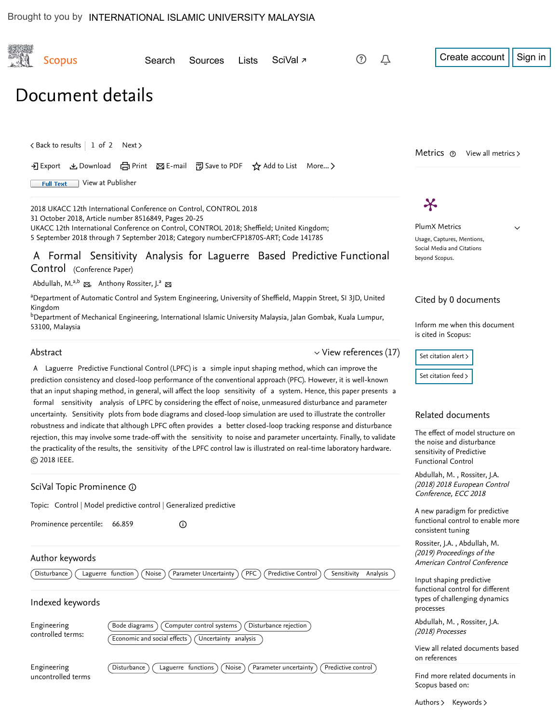